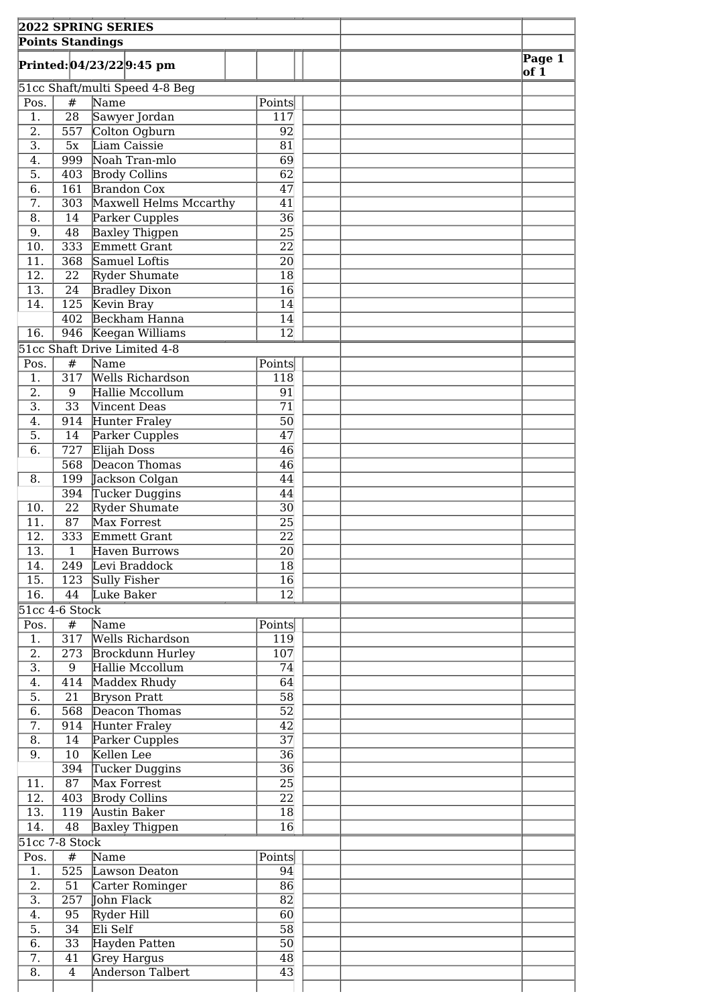|                                      |                         | <b>2022 SPRING SERIES</b>            |                 |  |                    |
|--------------------------------------|-------------------------|--------------------------------------|-----------------|--|--------------------|
|                                      | <b>Points Standings</b> |                                      |                 |  |                    |
|                                      |                         | Printed: 04/23/22 9:45 pm            |                 |  | Page 1<br>$ $ of 1 |
|                                      |                         | 51cc Shaft/multi Speed 4-8 Beg       |                 |  |                    |
| Pos.<br>$\overline{1}$ .             | #<br>$\overline{28}$    | Name                                 | Points          |  |                    |
| $\overline{2}$ .                     | 557                     | Sawyer Jordan<br>Colton Ogburn       | 117<br>92       |  |                    |
| $\overline{3}$ .                     | 5x                      | Liam Caissie                         | 81              |  |                    |
| 4.                                   | 999                     | Noah Tran-mlo                        | 69              |  |                    |
| $\overline{5}$ .                     | 403                     | <b>Brody Collins</b>                 | 62              |  |                    |
| 6.                                   | 161                     | <b>Brandon Cox</b>                   | $\overline{47}$ |  |                    |
| $\overline{7}$ .                     | 303                     | Maxwell Helms Mccarthy               | $\overline{41}$ |  |                    |
| $\overline{8}$ .                     | 14                      | Parker Cupples                       | $\overline{36}$ |  |                    |
| 9.                                   | 48                      | Baxley Thigpen                       | $\overline{25}$ |  |                    |
| 10.                                  | 333                     | Emmett Grant                         | $\overline{22}$ |  |                    |
| 11.                                  | 368                     | Samuel Loftis                        | 20              |  |                    |
| 12.                                  | 22                      | <b>Ryder Shumate</b>                 | 18              |  |                    |
| $\overline{13}$ .                    | 24                      | <b>Bradley Dixon</b>                 | 16              |  |                    |
| 14.                                  |                         | 125 Kevin Bray                       | 14              |  |                    |
|                                      |                         | 402 Beckham Hanna                    | 14              |  |                    |
| 16.                                  |                         | 946 Keegan Williams                  | $\overline{12}$ |  |                    |
|                                      | #                       | 51cc Shaft Drive Limited 4-8<br>Name |                 |  |                    |
| Pos.<br>1.                           | 317                     | <b>Wells Richardson</b>              | Points<br>118   |  |                    |
| $\overline{2}$ .                     | 9                       | Hallie Mccollum                      | 91              |  |                    |
| $\overline{3}$ .                     | 33                      | Vincent Deas                         | 71              |  |                    |
| 4.                                   | 914                     | Hunter Fraley                        | 50              |  |                    |
| 5.                                   | $\overline{14}$         | Parker Cupples                       | 47              |  |                    |
| $\overline{6}$ .                     | $\overline{727}$        | Elijah Doss                          | 46              |  |                    |
|                                      | 568                     | Deacon Thomas                        | 46              |  |                    |
| 8.                                   | 199                     | Jackson Colgan                       | 44              |  |                    |
|                                      | 394                     | Tucker Duggins                       | 44              |  |                    |
| 10.                                  | $\overline{22}$         | <b>Ryder Shumate</b>                 | 30              |  |                    |
| 11.                                  | $\overline{87}$         | Max Forrest                          | 25              |  |                    |
| 12.                                  | 333                     | Emmett Grant                         | 22              |  |                    |
| $\overline{13}$ .                    | $\overline{1}$          | Haven Burrows                        | $\overline{20}$ |  |                    |
| 14.                                  | 249                     | Levi Braddock                        | 18              |  |                    |
| 15.                                  | 123                     | Sully Fisher                         | 16              |  |                    |
| 16.                                  | 44                      | Luke Baker                           | 12              |  |                    |
|                                      | $51cc$ 4-6 Stock<br>#   | Name                                 |                 |  |                    |
| Pos.<br>1.                           | 317                     | Wells Richardson                     | Points<br>119   |  |                    |
| 2.                                   | 273                     | Brockdunn Hurley                     | 107             |  |                    |
| $\overline{3}$ .                     | 9                       | Hallie Mccollum                      | 74              |  |                    |
| 4.                                   | 414                     | Maddex Rhudy                         | 64              |  |                    |
| $\overline{5}$ .                     | $\overline{21}$         | <b>Bryson Pratt</b>                  | $\overline{58}$ |  |                    |
| $\overline{6}$ .                     | 568                     | Deacon Thomas                        | $\overline{52}$ |  |                    |
| 7.                                   |                         | 914 Hunter Fraley                    | $\overline{42}$ |  |                    |
| 8.                                   | 14                      | Parker Cupples                       | $\overline{37}$ |  |                    |
| 9.                                   | 10                      | Kellen Lee                           | $\overline{36}$ |  |                    |
|                                      |                         | 394 Tucker Duggins                   | $\overline{36}$ |  |                    |
| 11.                                  | 87                      | Max Forrest                          | 25              |  |                    |
| 12.                                  |                         | 403 Brody Collins                    | $\overline{22}$ |  |                    |
| 13.                                  | 119                     | <b>Austin Baker</b>                  | 18              |  |                    |
| 14.                                  | 48                      | Baxley Thigpen                       | $\overline{16}$ |  |                    |
|                                      | 51cc 7-8 Stock          |                                      |                 |  |                    |
| Pos.                                 | $\overline{\#}$         | Name                                 | Points          |  |                    |
| 1.                                   | 525                     | Lawson Deaton                        | 94              |  |                    |
| $\overline{2}$ .<br>$\overline{3}$ . | 51                      | Carter Rominger<br>John Flack        | 86              |  |                    |
| 4.                                   | 257<br>95               | Ryder Hill                           | 82<br>60        |  |                    |
| 5.                                   | $\overline{34}$         | Eli Self                             | 58              |  |                    |
| 6.                                   | $\overline{33}$         | Hayden Patten                        | 50              |  |                    |
| $\overline{7}$ .                     | 41                      | Grey Hargus                          | 48              |  |                    |
| $\overline{8}$ .                     | $\overline{4}$          | <b>Anderson Talbert</b>              | 43              |  |                    |
|                                      |                         |                                      |                 |  |                    |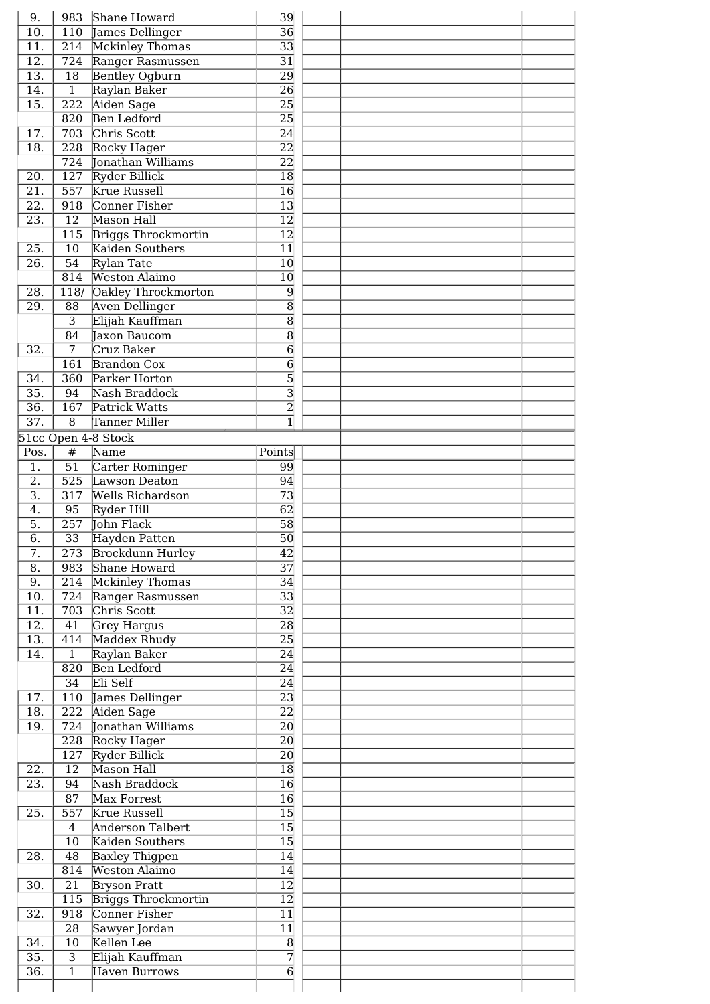| 10.                                    |                                | 983 Shane Howard                        | 39                  |  |  |
|----------------------------------------|--------------------------------|-----------------------------------------|---------------------|--|--|
|                                        |                                | 110 James Dellinger                     | $\overline{36}$     |  |  |
| $\overline{11}$ .                      |                                | 214 Mckinley Thomas                     | $\overline{33}$     |  |  |
| $\overline{12}$ .                      |                                | 724 Ranger Rasmussen                    | $\overline{31}$     |  |  |
| $\overline{13}$ .                      | $\overline{18}$                | <b>Bentley Ogburn</b>                   | $\overline{29}$     |  |  |
| 14.                                    | $\overline{1}$                 | Raylan Baker                            | $\overline{26}$     |  |  |
| 15.                                    |                                | 222 Aiden Sage                          | $\overline{25}$     |  |  |
|                                        |                                | 820 Ben Ledford                         | $\overline{25}$     |  |  |
| $\overline{17}$ .                      |                                | 703 Chris Scott                         | $\overline{24}$     |  |  |
| 18.                                    |                                | 228 Rocky Hager                         | $\overline{22}$     |  |  |
|                                        |                                | 724 Jonathan Williams                   | $\overline{22}$     |  |  |
| 20.                                    |                                | 127 Ryder Billick                       | $\overline{18}$     |  |  |
| $\overline{21}$ .                      |                                | 557 Krue Russell                        | $\overline{16}$     |  |  |
| $\overline{22}$ .                      |                                | 918 Conner Fisher                       | $\overline{13}$     |  |  |
| $\overline{23}$ .                      | $\overline{12}$                | Mason Hall                              | $\overline{12}$     |  |  |
|                                        |                                |                                         | $\overline{12}$     |  |  |
|                                        |                                | 115 Briggs Throckmortin                 |                     |  |  |
| 25.                                    | 10                             | Kaiden Southers                         | $\overline{11}$     |  |  |
| $\overline{26}$ .                      | $\overline{54}$                | Rylan Tate                              | $\overline{10}$     |  |  |
|                                        | 814                            | <b>Weston Alaimo</b>                    | $\overline{10}$     |  |  |
| 28.                                    |                                | 118/ Oakley Throckmorton                | $\overline{9}$      |  |  |
| 29.                                    | 88                             | Aven Dellinger                          | $\overline{8}$      |  |  |
|                                        | $\overline{3}$                 | Elijah Kauffman                         | $\overline{\bf 8}$  |  |  |
|                                        | 84                             | Taxon Baucom                            | $\overline{8}$      |  |  |
| 32.                                    | $\overline{7}$                 | Cruz Baker                              | $\overline{6}$      |  |  |
|                                        | 161                            | <b>Brandon Cox</b>                      | $\overline{6}$      |  |  |
| 34.                                    | 360                            | Parker Horton                           | $\overline{5}$      |  |  |
| $\overline{35}$ .                      | 94                             | Nash Braddock                           | $\overline{3}$      |  |  |
| $\overline{36}$ .                      | 167                            | Patrick Watts                           | $\overline{2}$      |  |  |
| $\overline{37}$ .                      | 8                              | Tanner Miller                           | $\overline{1}$      |  |  |
|                                        |                                | 51cc Open 4-8 Stock                     |                     |  |  |
| Pos.                                   | $\#$                           | Name                                    | Points              |  |  |
| 1.                                     | $\overline{51}$                | Carter Rominger                         | 99                  |  |  |
| 2.                                     | 525                            | Lawson Deaton                           | $\overline{94}$     |  |  |
| $\overline{3}$ .                       | 317                            | <b>Wells Richardson</b>                 | $\overline{73}$     |  |  |
| 4.                                     | 95                             | Ryder Hill                              | $\overline{62}$     |  |  |
| $\overline{5}$ .                       | 257                            | <b>John Flack</b>                       | $\overline{58}$     |  |  |
|                                        |                                |                                         |                     |  |  |
|                                        |                                |                                         |                     |  |  |
| $\overline{6}$ .                       | $\overline{33}$                | Hayden Patten                           | $\overline{50}$     |  |  |
| 7.                                     |                                | 273 Brockdunn Hurley                    | 42                  |  |  |
| $\overline{8}$ .                       |                                | 983 Shane Howard                        | $\overline{37}$     |  |  |
| 9.                                     |                                | 214 Mckinley Thomas                     | $\overline{34}$     |  |  |
| 10.                                    |                                | 724 Ranger Rasmussen                    | $\overline{33}$     |  |  |
| 11.                                    |                                | 703 Chris Scott                         | $\overline{32}$     |  |  |
| $\overline{12}$ .                      | $\overline{41}$                | Grey Hargus                             | $\overline{28}$     |  |  |
| $\overline{13}$ .                      |                                | 414 Maddex Rhudy                        | $\overline{25}$     |  |  |
| 14.                                    | $\overline{1}$                 | Raylan Baker                            | $\overline{24}$     |  |  |
|                                        |                                | 820 Ben Ledford                         | $\overline{24}$     |  |  |
|                                        | $\overline{34}$                | Eli Self                                | $\overline{24}$     |  |  |
| 17.                                    |                                | 110 James Dellinger                     | $\overline{23}$     |  |  |
| $\overline{18}$ .                      |                                | 222 Aiden Sage                          | $\overline{22}$     |  |  |
| $\overline{19}$ .                      | 724                            | Jonathan Williams                       | $\overline{20}$     |  |  |
|                                        |                                | 228 Rocky Hager                         | $\overline{20}$     |  |  |
|                                        |                                | 127 Ryder Billick                       | 20                  |  |  |
| 22.                                    | $\overline{12}$                | Mason Hall                              | $\overline{18}$     |  |  |
| $\overline{23}$ .                      | 94                             | Nash Braddock                           | $\overline{16}$     |  |  |
|                                        | 87                             | Max Forrest                             | $\overline{16}$     |  |  |
| 25.                                    | 557                            | <b>Krue Russell</b>                     | $\overline{15}$     |  |  |
|                                        | $\overline{4}$                 | <b>Anderson Talbert</b>                 | $\overline{15}$     |  |  |
|                                        | 10                             | Kaiden Southers                         | $\overline{15}$     |  |  |
| 28.                                    | 48                             |                                         | $\overline{14}$     |  |  |
|                                        |                                | <b>Baxley Thigpen</b>                   |                     |  |  |
|                                        |                                | 814 Weston Alaimo                       | $\overline{14}$     |  |  |
| 30.                                    | 21                             | <b>Bryson Pratt</b>                     | $\overline{12}$     |  |  |
|                                        |                                | 115 Briggs Throckmortin                 | $\overline{12}$     |  |  |
| 32.                                    |                                | 918 Conner Fisher                       | $\overline{11}$     |  |  |
|                                        | $\overline{28}$                | Sawyer Jordan                           | $\overline{11}$     |  |  |
| 34.                                    | 10                             | Kellen Lee                              | $\overline{8}$      |  |  |
| $\overline{35}$ .<br>$\overline{36}$ . | $\overline{3}$<br>$\mathbf{1}$ | Elijah Kauffman<br><b>Haven Burrows</b> | 7<br>$\overline{6}$ |  |  |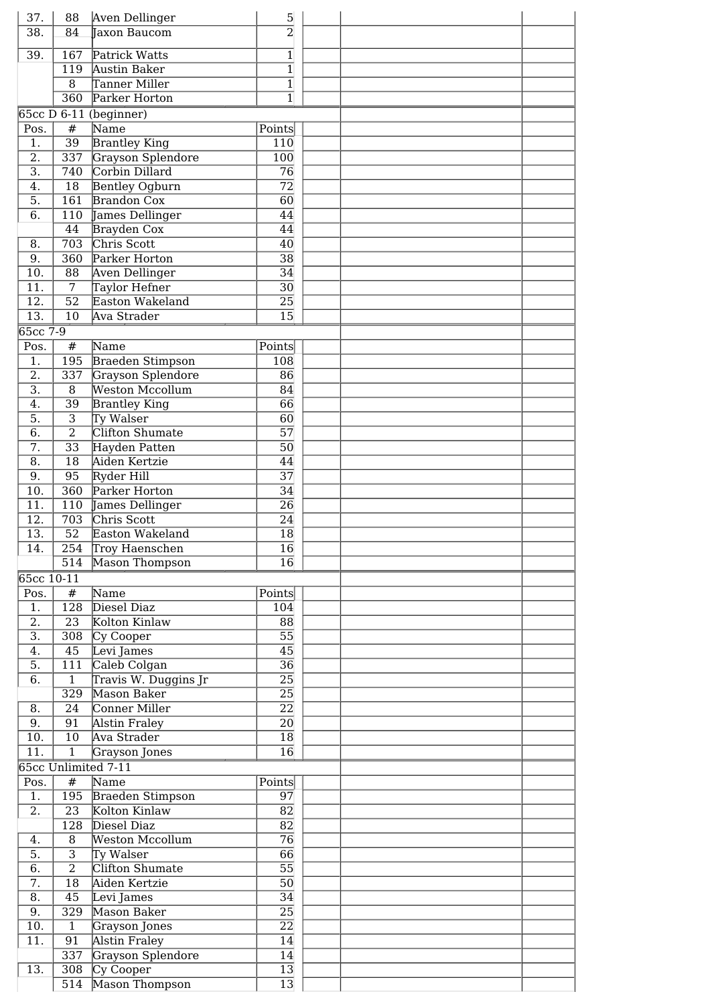| 37.               | 88               | Aven Dellinger          | $\overline{5}$                   |  |
|-------------------|------------------|-------------------------|----------------------------------|--|
| $\overline{38}$ . | 84               | Taxon Baucom            | $\overline{2}$                   |  |
|                   |                  |                         |                                  |  |
| 39.               | 167              | Patrick Watts           | $\mathbf{1}$<br>$\overline{1}$   |  |
|                   | 119              | Austin Baker            |                                  |  |
|                   | 8                | Tanner Miller           | $\overline{1}$<br>$\overline{1}$ |  |
|                   | $\overline{360}$ | Parker Horton           |                                  |  |
|                   |                  | 65cc D 6-11 (beginner)  |                                  |  |
| Pos.              | $\#$             | Name                    | Points                           |  |
| 1.                | $\overline{39}$  | <b>Brantley King</b>    | 110                              |  |
| $\overline{2}$ .  | 337              | Grayson Splendore       | 100                              |  |
| $\overline{3}$ .  | 740              | Corbin Dillard          | 76                               |  |
| 4.                | 18               | Bentley Ogburn          | $\overline{72}$                  |  |
| 5.                | 161              | <b>Brandon Cox</b>      | 60                               |  |
| 6.                | 110              | James Dellinger         | 44                               |  |
|                   | 44               | Brayden Cox             | 44                               |  |
| 8.                | $\overline{703}$ | Chris Scott             | 40                               |  |
| $\overline{9}$ .  | $\overline{360}$ | Parker Horton           | $\overline{38}$                  |  |
| 10.               | $\overline{88}$  | Aven Dellinger          | $\overline{34}$                  |  |
| 11.               | $\overline{7}$   | Taylor Hefner           | $\overline{30}$                  |  |
| 12.               | $\overline{52}$  | Easton Wakeland         | 25                               |  |
| $\overline{13}$ . | $\overline{10}$  | Ava Strader             | 15                               |  |
| $65cc$ 7-9        |                  |                         |                                  |  |
| Pos.              | #                | Name                    | Points                           |  |
| 1.                | 195              | <b>Braeden Stimpson</b> | 108                              |  |
| $\overline{2}$ .  | 337              | Grayson Splendore       | 86                               |  |
| $\overline{3}$ .  | 8                | <b>Weston Mccollum</b>  | 84                               |  |
| $\overline{4}$ .  |                  |                         | $\overline{66}$                  |  |
|                   | $\overline{39}$  | <b>Brantley King</b>    |                                  |  |
| $\overline{5}$ .  | $\overline{3}$   | Ty Walser               | 60                               |  |
| 6.                | $\overline{2}$   | Clifton Shumate         | $\overline{57}$                  |  |
| 7.                | $\overline{33}$  | Hayden Patten           | 50                               |  |
| $\overline{8}$ .  | $\overline{18}$  | Aiden Kertzie           | 44                               |  |
| $\overline{9}$ .  | $\overline{95}$  | Ryder Hill              | $\overline{37}$                  |  |
| 10.               | $\overline{360}$ | Parker Horton           | $\overline{34}$                  |  |
| 11.               | 110              | James Dellinger         | $\overline{26}$                  |  |
| $\overline{12}$ . | 703              | Chris Scott             | $\overline{24}$                  |  |
| 13.               | $\overline{52}$  | Easton Wakeland         | 18                               |  |
| $\overline{14}$ . | $\overline{254}$ | Troy Haenschen          | $\overline{16}$                  |  |
|                   | 514              | Mason Thompson          | $\overline{16}$                  |  |
| 65cc 10-11        |                  |                         |                                  |  |
| Pos.              | #                | Name                    | Points                           |  |
| 1.                | 128              | Diesel Diaz             | 104                              |  |
| $\overline{2}$ .  | $\overline{23}$  | Kolton Kinlaw           | 88                               |  |
| $\overline{3}$ .  | 308              | Cy Cooper               | 55                               |  |
| 4.                | 45               | Levi James              | 45                               |  |
| 5.                | 111              | Caleb Colgan            | 36                               |  |
| 6.                | $\overline{1}$   | Travis W. Duggins Jr    | $\overline{25}$                  |  |
|                   | 329              | Mason Baker             | 25                               |  |
| 8.                | 24               | Conner Miller           | 22                               |  |
| 9.                | 91               |                         | 20                               |  |
|                   |                  | Alstin Fraley           |                                  |  |
| 10.               | 10               | Ava Strader             | 18                               |  |
| 11.               | $\overline{1}$   | Grayson Jones           | 16                               |  |
|                   |                  | 65cc Unlimited 7-11     |                                  |  |
| Pos.              | #                | Name                    | Points                           |  |
| 1.                | 195              | Braeden Stimpson        | 97                               |  |
| 2.                | $\overline{23}$  | Kolton Kinlaw           | $\overline{82}$                  |  |
|                   | 128              | Diesel Diaz             | $\overline{82}$                  |  |
| 4.                | 8                | Weston Mccollum         | 76                               |  |
| 5.                | $\overline{3}$   | Ty Walser               | $\overline{66}$                  |  |
| 6.                | $\overline{2}$   | Clifton Shumate         | $\overline{55}$                  |  |
| 7.                | $\overline{18}$  | Aiden Kertzie           | 50                               |  |
| $\overline{8}$ .  | $\overline{45}$  | Levi James              | $\overline{34}$                  |  |
| 9.                | $\overline{329}$ | Mason Baker             | $\overline{25}$                  |  |
| 10.               | $\overline{1}$   | Grayson Jones           | $\overline{22}$                  |  |
| 11.               | 91               | <b>Alstin Fraley</b>    | 14                               |  |
|                   | 337              | Grayson Splendore       | 14                               |  |
| 13.               | 308              | Cy Cooper               | 13                               |  |
|                   | 514              | Mason Thompson          | $\overline{13}$                  |  |
|                   |                  |                         |                                  |  |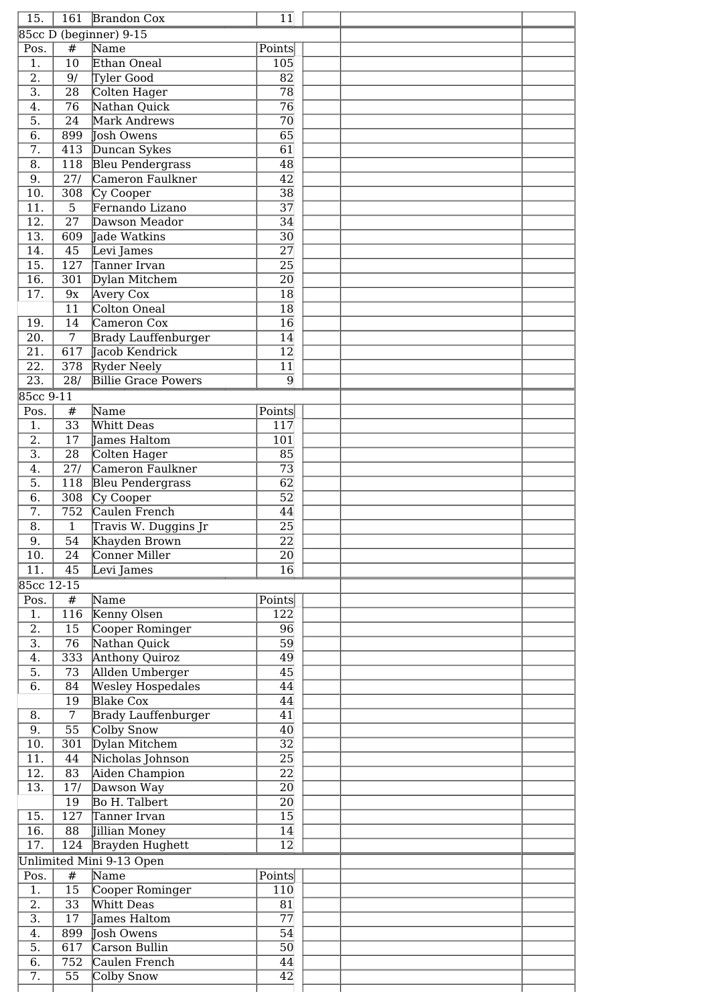| 15.                                    |                        | 161 Brandon Cox             | 11                    |  |
|----------------------------------------|------------------------|-----------------------------|-----------------------|--|
|                                        |                        | 85cc D (beginner) 9-15      |                       |  |
| Pos.                                   | #                      | Name                        | Points                |  |
| 1.                                     | $\overline{10}$        | Ethan Oneal                 | 105                   |  |
| $\overline{2}$ .                       | 9/                     | Tyler Good                  | $\overline{82}$       |  |
| $\overline{3}$ .                       | $\overline{28}$        | Colten Hager                | $\overline{78}$       |  |
| $\overline{4}$ .                       | $\overline{76}$        | Nathan Quick                | $\overline{76}$       |  |
| $\overline{5}$ .                       | 24                     | Mark Andrews                | $\overline{70}$       |  |
| $\overline{6}$ .                       | 899                    | Josh Owens                  | $\overline{65}$       |  |
| $\overline{7}$ .                       | 413                    | Duncan Sykes                | $\overline{61}$       |  |
| $\overline{8}$ .                       | 118                    | <b>Bleu Pendergrass</b>     | $\overline{48}$       |  |
| $\overline{9}$ .                       | 27/                    | Cameron Faulkner            | $\overline{42}$       |  |
| $\overline{10}$ .                      | 308                    | Cy Cooper                   | $\overline{38}$       |  |
| $\overline{11}$ .                      | 5                      | Fernando Lizano             | $\overline{37}$       |  |
| $\overline{12}$ .                      | $\overline{27}$        | Dawson Meador               | $\overline{34}$       |  |
| $\overline{13}$ .                      | 609                    | Jade Watkins                | $\overline{30}$       |  |
| $\overline{14}$ .                      | $\overline{45}$        | Levi James                  | $\overline{27}$       |  |
| $\overline{15}$ .                      | 127                    | Tanner Irvan                | $\overline{25}$       |  |
|                                        |                        |                             | $\overline{20}$       |  |
| $\overline{16}$ .<br>$\overline{17}$ . | 301                    | Dylan Mitchem               | $\overline{18}$       |  |
|                                        | 9x                     | Avery Cox                   |                       |  |
|                                        | $\overline{11}$        | Colton Oneal                | $\overline{18}$       |  |
| 19.                                    | 14                     | Cameron Cox                 | $\overline{16}$       |  |
| $\overline{20}$ .                      | $\overline{7}$         | <b>Brady Lauffenburger</b>  | $\overline{14}$       |  |
| $\overline{21}$ .                      | 617                    | Jacob Kendrick              | $\overline{12}$       |  |
| $\overline{22}$ .                      | $\overline{378}$       | <b>Ryder Neely</b>          | $\overline{11}$       |  |
| $\overline{23}$ .                      | $\overline{28/}$       | <b>Billie Grace Powers</b>  | $\overline{9}$        |  |
| 85cc 9-11                              |                        |                             |                       |  |
| Pos.                                   | #                      | Name                        | Points                |  |
| 1.                                     | $\overline{33}$        | Whitt Deas                  | 117                   |  |
| $\overline{2}$ .                       | $\overline{17}$        | James Haltom                | 101                   |  |
| $\overline{3}$ .                       | $\overline{28}$        | Colten Hager                | $\overline{85}$       |  |
| $\overline{4}$ .                       | 27/                    | Cameron Faulkner            | $\overline{73}$       |  |
| $\overline{5}$ .                       | $\overline{118}$       | <b>Bleu Pendergrass</b>     | $\overline{62}$       |  |
| $\overline{6}$ .                       | $\overline{308}$       | Cy Cooper                   | $\overline{52}$       |  |
| $\overline{7}$ .                       | 752                    | Caulen French               | $\overline{44}$       |  |
| $\overline{8}$ .                       | $\mathbf{1}$           | Travis W. Duggins Jr        | $\overline{25}$       |  |
| 9.                                     | $\overline{54}$        | Khayden Brown               | $\overline{22}$       |  |
| 10.                                    | 24                     | Conner Miller               | 20                    |  |
| 11.                                    | 45                     | Levi James                  | $\overline{16}$       |  |
|                                        | 85cc 12-15             |                             |                       |  |
| Pos.                                   | $\#$                   | Name                        | Points                |  |
| 1.                                     | 116                    | Kenny Olsen                 | $\overline{122}$      |  |
| $\overline{2}$ .                       | 15                     | Cooper Rominger             | $\overline{96}$       |  |
| $\overline{3}$ .                       | $\overline{76}$        | Nathan Quick                | $\overline{59}$       |  |
| $\overline{4}$ .                       | 333                    | <b>Anthony Quiroz</b>       | $\overline{49}$       |  |
|                                        |                        | Allden Umberger             |                       |  |
| $\overline{5}$ .                       | 73                     |                             | $\overline{45}$       |  |
| $\overline{6}$ .                       | 84                     | <b>Wesley Hospedales</b>    | $\overline{44}$       |  |
|                                        | 19                     | <b>Blake Cox</b>            | $\overline{44}$       |  |
| $\overline{8}$ .                       | $\overline{7}$         | <b>Brady Lauffenburger</b>  | $\overline{41}$       |  |
| $\overline{9}$ .                       | $\overline{55}$        | Colby Snow                  | $\overline{40}$       |  |
|                                        |                        | Dylan Mitchem               | $\overline{32}$       |  |
| $\overline{10}$ .                      | 301                    |                             |                       |  |
| 11.                                    | 44                     | Nicholas Johnson            | $\overline{25}$       |  |
| $\overline{12}$ .                      | 83                     | Aiden Champion              | $\overline{22}$       |  |
| $\overline{13}$ .                      | 17/                    | Dawson Way                  | $\overline{20}$       |  |
|                                        | $\overline{19}$        | Bo H. Talbert               | $\overline{20}$       |  |
| 15.                                    | 127                    | Tanner Irvan                | $\overline{15}$       |  |
| $\overline{16}$ .                      | 88                     | Jillian Money               | $\overline{14}$       |  |
| $\overline{17}$ .                      |                        | 124 Brayden Hughett         | $\overline{12}$       |  |
|                                        |                        |                             |                       |  |
|                                        |                        | Unlimited Mini 9-13 Open    |                       |  |
| Pos.                                   | $\#$                   | Name                        | Points                |  |
| 1.                                     | 15                     | Cooper Rominger             | 110                   |  |
| $\overline{2}$ .                       | $\overline{33}$        | Whitt Deas                  | $\overline{81}$       |  |
| $\overline{3}$ .                       | $\overline{17}$        | James Haltom                | $\overline{77}$       |  |
| 4.                                     | 899                    | Josh Owens                  | 54                    |  |
| $\overline{5}$ .                       | 617                    | Carson Bullin               | $\overline{50}$       |  |
| $\overline{6}$ .<br>$\overline{7}$ .   | 752<br>$\overline{55}$ | Caulen French<br>Colby Snow | 44<br>$\overline{42}$ |  |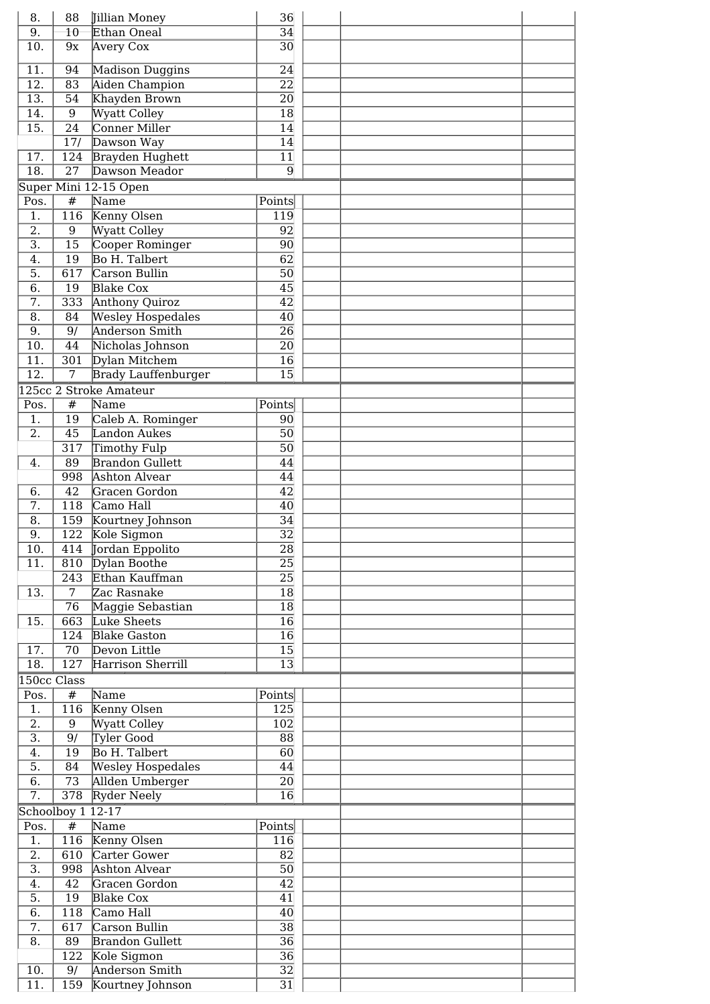| 8.                | 88                | Jillian Money              | 36              |  |  |
|-------------------|-------------------|----------------------------|-----------------|--|--|
| $\overline{9}$ .  | $\overline{10}$   | Ethan Oneal                | $\overline{34}$ |  |  |
| 10.               | 9x                | Avery Cox                  | 30              |  |  |
| 11.               | 94                | Madison Duggins            | 24              |  |  |
| 12.               | $\overline{83}$   | Aiden Champion             | $\overline{22}$ |  |  |
| $\overline{13}$ . | $\overline{54}$   | Khayden Brown              | $\overline{20}$ |  |  |
| 14.               | 9                 | <b>Wyatt Colley</b>        | $\overline{18}$ |  |  |
|                   |                   |                            |                 |  |  |
| 15.               | $\overline{24}$   | Conner Miller              | 14              |  |  |
|                   | 17/               | Dawson Way                 | 14              |  |  |
| 17.               | 124               | <b>Brayden Hughett</b>     | 11              |  |  |
| 18.               | 27                | Dawson Meador              | $\overline{9}$  |  |  |
|                   |                   | Super Mini 12-15 Open      |                 |  |  |
| Pos.              | #                 | Name                       | Points          |  |  |
| 1.                | 116               | Kenny Olsen                | 119             |  |  |
| 2.                | 9                 | <b>Wyatt Colley</b>        | 92              |  |  |
| $\overline{3}$ .  | 15                | Cooper Rominger            | 90              |  |  |
| 4.                | 19                | Bo H. Talbert              | 62              |  |  |
| 5.                | 617               | Carson Bullin              | 50              |  |  |
| 6.                | 19                | <b>Blake Cox</b>           | 45              |  |  |
| 7.                | 333               | <b>Anthony Quiroz</b>      | 42              |  |  |
| 8.                | $\overline{84}$   | <b>Wesley Hospedales</b>   | 40              |  |  |
| 9.                | $\overline{9/}$   | <b>Anderson Smith</b>      | 26              |  |  |
| 10.               | 44                | Nicholas Johnson           | $\overline{20}$ |  |  |
| 11.               | 301               | Dylan Mitchem              | 16              |  |  |
| $\overline{12}$ . | 7                 | <b>Brady Lauffenburger</b> | 15              |  |  |
|                   |                   | 125cc 2 Stroke Amateur     |                 |  |  |
| Pos.              | #                 | Name                       | Points          |  |  |
| 1.                | $\overline{19}$   |                            |                 |  |  |
|                   |                   | Caleb A. Rominger          | 90              |  |  |
| 2.                | 45                | Landon Aukes               | $\overline{50}$ |  |  |
|                   | $\overline{317}$  | Timothy Fulp               | $\overline{50}$ |  |  |
| 4.                | 89                | <b>Brandon Gullett</b>     | 44              |  |  |
|                   | 998               | <b>Ashton Alvear</b>       | 44              |  |  |
| 6.                | 42                | Gracen Gordon              | $\overline{42}$ |  |  |
| $\overline{7}$ .  | 118               | Camo Hall                  | $\overline{40}$ |  |  |
| 8.                | 159               | Kourtney Johnson           | 34              |  |  |
| 9.                | 122               | Kole Sigmon                | $\overline{32}$ |  |  |
| $\overline{10}$ . |                   | 414 Jordan Eppolito        | $\overline{28}$ |  |  |
| 11.               |                   | 810 Dylan Boothe           | 25              |  |  |
|                   | 243               | Ethan Kauffman             | $\overline{25}$ |  |  |
| 13.               | $\overline{7}$    | Zac Rasnake                | $\overline{18}$ |  |  |
|                   | $\overline{76}$   | Maggie Sebastian           | $\overline{18}$ |  |  |
| 15.               | 663               | Luke Sheets                | $\overline{16}$ |  |  |
|                   | 124               | <b>Blake Gaston</b>        | $\overline{16}$ |  |  |
| 17.               | 70                | Devon Little               | $\overline{15}$ |  |  |
| 18.               | 127               | Harrison Sherrill          | $\overline{13}$ |  |  |
|                   | 150cc Class       |                            |                 |  |  |
| Pos.              | #                 | Name                       | Points          |  |  |
| 1.                | 116               | Kenny Olsen                | 125             |  |  |
| 2.                | 9                 | <b>Wyatt Colley</b>        | 102             |  |  |
| $\overline{3}$ .  | 9/                | Tyler Good                 | 88              |  |  |
| 4.                | 19                | Bo H. Talbert              | 60              |  |  |
| 5.                | 84                | <b>Wesley Hospedales</b>   | 44              |  |  |
|                   |                   |                            |                 |  |  |
| 6.<br>7.          | 73<br>378         | Allden Umberger            | 20<br>16        |  |  |
|                   |                   | Ryder Neely                |                 |  |  |
|                   | Schoolboy 1 12-17 |                            |                 |  |  |
| Pos.              | $\pmb{\#}$        | Name                       | Points          |  |  |
| 1.                | 116               | Kenny Olsen                | 116             |  |  |
| $\overline{2}$ .  | 610               | Carter Gower               | 82              |  |  |
| $\overline{3}$ .  | 998               | Ashton Alvear              | 50              |  |  |
| 4.                | $\overline{42}$   | Gracen Gordon              | $\overline{42}$ |  |  |
| 5.                | 19                | <b>Blake Cox</b>           | $\overline{41}$ |  |  |
| 6.                | 118               | Camo Hall                  | 40              |  |  |
| 7.                | 617               | Carson Bullin              | $\overline{38}$ |  |  |
| 8.                | 89                | <b>Brandon Gullett</b>     | $\overline{36}$ |  |  |
|                   | 122               | Kole Sigmon                | $\overline{36}$ |  |  |
| 10.               | 9/                | Anderson Smith             | $\overline{32}$ |  |  |
|                   |                   |                            | $\overline{31}$ |  |  |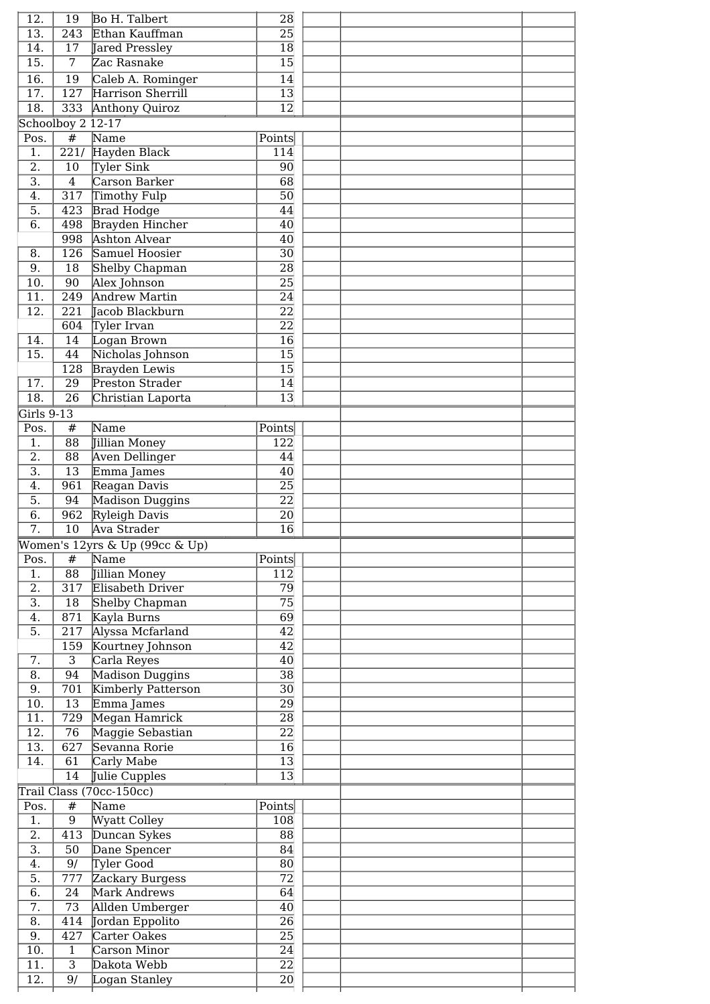| 12.               | 19                | <b>Bo H. Talbert</b>                           | $\overline{28}$                    |  |
|-------------------|-------------------|------------------------------------------------|------------------------------------|--|
| $\overline{13}$ . | 243               | Ethan Kauffman                                 | $\overline{25}$                    |  |
| $\overline{14}$ . | 17                | Jared Pressley                                 | 18                                 |  |
| $\overline{15}$ . | 7                 | Zac Rasnake                                    | $\overline{15}$                    |  |
| $\overline{16}$ . | 19                | Caleb A. Rominger                              | $\overline{14}$                    |  |
| 17.               | 127               | Harrison Sherrill                              | 13                                 |  |
| $\overline{18}$ . | 333               | <b>Anthony Quiroz</b>                          | $\overline{12}$                    |  |
|                   | Schoolboy 2 12-17 |                                                |                                    |  |
| Pos.              | $\overline{\#}$   | Name                                           | Points                             |  |
| $\overline{1}$ .  | $\overline{221/}$ | Hayden Black                                   | 114                                |  |
| $\overline{2}$ .  | 10                | Tyler Sink                                     | 90                                 |  |
| $\overline{3}$ .  | $\overline{4}$    | Carson Barker                                  | $\overline{68}$                    |  |
| 4.                | 317               | Timothy Fulp                                   | 50                                 |  |
| $\overline{5}$ .  | 423               | <b>Brad Hodge</b>                              | 44                                 |  |
| $\overline{6}$ .  | 498<br>998        | <b>Brayden Hincher</b><br><b>Ashton Alvear</b> | $\overline{40}$                    |  |
| 8.                | $\overline{126}$  | Samuel Hoosier                                 | $\overline{40}$<br>$\overline{30}$ |  |
| $\overline{9}$ .  | 18                | Shelby Chapman                                 | $\overline{28}$                    |  |
| 10.               | 90                | Alex Johnson                                   | $\overline{25}$                    |  |
| 11.               | 249               | <b>Andrew Martin</b>                           | $\overline{24}$                    |  |
| 12.               | 221               | Tacob Blackburn                                | $\overline{22}$                    |  |
|                   | 604               | Tyler Irvan                                    | $\overline{22}$                    |  |
| 14.               | $\overline{14}$   | Logan Brown                                    | $\overline{16}$                    |  |
| 15.               | $\overline{44}$   | Nicholas Johnson                               | $\overline{15}$                    |  |
|                   | 128               | <b>Brayden Lewis</b>                           | $\overline{15}$                    |  |
| 17.               | 29                | Preston Strader                                | 14                                 |  |
| $\overline{18}$ . | $\overline{26}$   | Christian Laporta                              | $\overline{13}$                    |  |
| Girls 9-13        |                   |                                                |                                    |  |
| Pos.              | #                 | Name                                           | Points                             |  |
| 1.                | 88                | Jillian Money                                  | 122                                |  |
| $\overline{2}$ .  | $\overline{88}$   | Aven Dellinger                                 | 44                                 |  |
| $\overline{3}$ .  | 13                | Emma James                                     | 40                                 |  |
| 4.                | 961               | Reagan Davis                                   | 25                                 |  |
| 5.                | 94                | Madison Duggins                                | $\overline{22}$                    |  |
| 6.                | 962               | Ryleigh Davis                                  | $\overline{20}$                    |  |
| $\overline{7}$ .  | $\overline{10}$   | Ava Strader                                    | $\overline{16}$                    |  |
|                   |                   | Women's 12yrs & Up (99cc & Up)                 |                                    |  |
| Pos.              | #                 | Name                                           | Points                             |  |
| 1.<br>2.          | 88<br>317         | Jillian Money<br>Elisabeth Driver              | 112<br>$\overline{79}$             |  |
| $\overline{3}$ .  | 18                |                                                |                                    |  |
|                   |                   |                                                |                                    |  |
|                   |                   | Shelby Chapman                                 | $\overline{75}$                    |  |
| 4.                | 871               | Kayla Burns                                    | 69                                 |  |
| 5.                | 217               | Alyssa Mcfarland                               | 42                                 |  |
|                   | 159               | Kourtney Johnson                               | 42                                 |  |
| 7.                | $\overline{3}$    | Carla Reyes                                    | 40                                 |  |
| 8.<br>9.          | 94<br>701         | Madison Duggins<br>Kimberly Patterson          | $\overline{38}$<br>30              |  |
| 10.               | 13                | Emma James                                     | $\overline{29}$                    |  |
| 11.               | 729               | Megan Hamrick                                  | 28                                 |  |
| 12.               | 76                | Maggie Sebastian                               | $\overline{22}$                    |  |
| 13.               | 627               | Sevanna Rorie                                  | 16                                 |  |
| 14.               | 61                | Carly Mabe                                     | $\overline{13}$                    |  |
|                   | 14                | Julie Cupples                                  | 13                                 |  |
|                   |                   | Trail Class (70cc-150cc)                       |                                    |  |
| Pos.              | #                 | Name                                           | Points                             |  |
| 1.                | 9                 | Wyatt Colley                                   | 108                                |  |
| 2.                | 413               | Duncan Sykes                                   | 88                                 |  |
| $\overline{3}$ .  | 50                | Dane Spencer                                   | 84                                 |  |
| 4.                | 9/                | Tyler Good                                     | 80                                 |  |
| 5.                | 777               | Zackary Burgess                                | $\overline{72}$                    |  |
| 6.                | 24                | Mark Andrews                                   | 64                                 |  |
| 7.                | 73                | Allden Umberger                                | 40                                 |  |
| 8.<br>9.          | 414<br>427        | Jordan Eppolito<br>Carter Oakes                | 26<br>25                           |  |
| 10.               | $\mathbf{1}$      | Carson Minor                                   | 24                                 |  |
| $\overline{11}$ . | $\overline{3}$    | Dakota Webb                                    | $\overline{22}$                    |  |
| 12.               | 9/                | Logan Stanley                                  | 20                                 |  |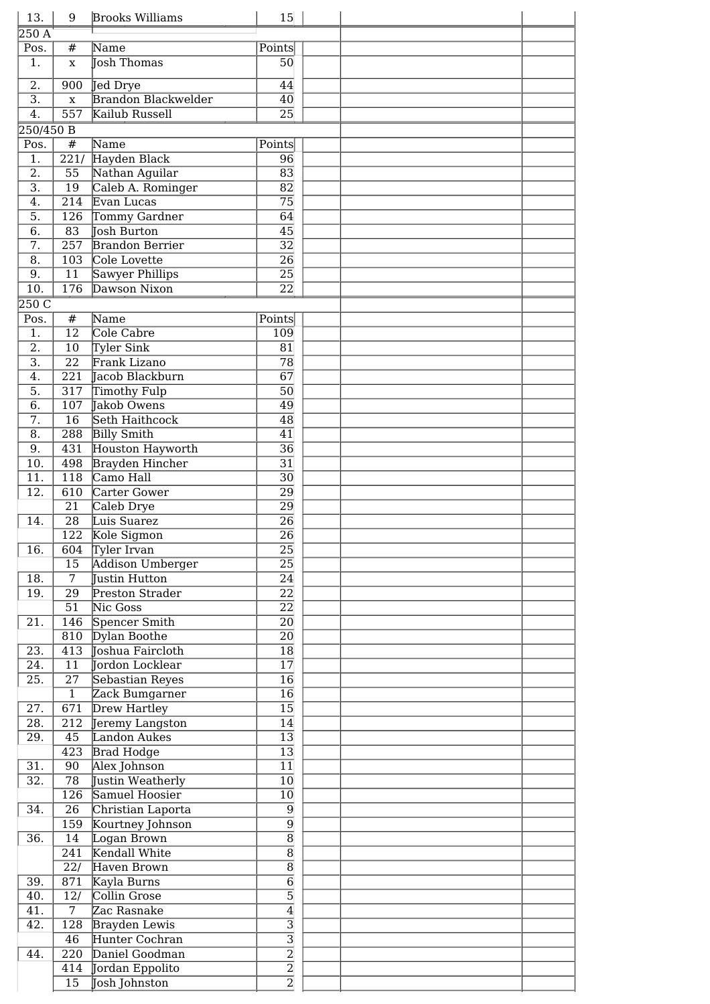| 13.                                  | 9                               | <b>Brooks Williams</b>                 | 15                               |  |  |
|--------------------------------------|---------------------------------|----------------------------------------|----------------------------------|--|--|
| 250A                                 |                                 |                                        |                                  |  |  |
| Pos.                                 | #                               | Name                                   | Points                           |  |  |
| 1.                                   | $\mathbf x$                     | <b>Josh Thomas</b>                     | 50                               |  |  |
|                                      |                                 |                                        |                                  |  |  |
| $\overline{2}$ .<br>$\overline{3}$ . | 900                             | Jed Drye<br><b>Brandon Blackwelder</b> | 44                               |  |  |
| 4.                                   | $\mathbf x$<br>$\overline{557}$ | Kailub Russell                         | 40<br>$\overline{25}$            |  |  |
|                                      |                                 |                                        |                                  |  |  |
| 250/450 B                            |                                 |                                        |                                  |  |  |
| Pos.                                 | $\#$                            | Name                                   | Points                           |  |  |
| 1.                                   | $\overline{221/}$               | Hayden Black                           | 96                               |  |  |
| $\overline{2}$ .                     | $\overline{55}$                 | Nathan Aguilar                         | $\overline{83}$                  |  |  |
| $\overline{3}$ .                     | $\overline{19}$                 | Caleb A. Rominger                      | $\overline{82}$                  |  |  |
| 4.                                   | $\overline{214}$                | Evan Lucas                             | $\overline{75}$                  |  |  |
| $\overline{5}$ .                     | 126                             | Tommy Gardner                          | $\overline{64}$                  |  |  |
| $\overline{6}$ .                     | 83                              | Josh Burton                            | $\overline{45}$                  |  |  |
| $\overline{7}$ .                     | $\overline{257}$                | <b>Brandon Berrier</b>                 | $\overline{32}$                  |  |  |
| $\overline{8}$ .                     | 103                             | Cole Lovette                           | $\overline{26}$                  |  |  |
| $\overline{9}$ .                     | 11                              | Sawyer Phillips                        | $\overline{25}$                  |  |  |
| $\overline{10}$ .                    | 176                             | Dawson Nixon                           | $\overline{22}$                  |  |  |
| 250C                                 |                                 |                                        |                                  |  |  |
| Pos.                                 | #                               | Name                                   | Points                           |  |  |
| 1.                                   | $\overline{12}$                 | Cole Cabre                             | 109                              |  |  |
| $\overline{2}$ .                     | 10                              |                                        | 81                               |  |  |
| $\overline{3}$ .                     |                                 | Tyler Sink                             |                                  |  |  |
|                                      | $\overline{22}$                 | Frank Lizano                           | $\overline{78}$                  |  |  |
| $\overline{4}$ .                     | $\overline{221}$                | Jacob Blackburn                        | $\overline{67}$                  |  |  |
| $\overline{5}$ .                     | 317                             | Timothy Fulp                           | $\overline{50}$                  |  |  |
| $\overline{6}$ .                     | 107                             | Jakob Owens                            | $\overline{49}$                  |  |  |
| $\overline{7}$ .                     | $\overline{16}$                 | <b>Seth Haithcock</b>                  | $\overline{48}$                  |  |  |
| $\overline{8}$ .                     | 288                             | <b>Billy Smith</b>                     | 41                               |  |  |
| 9.                                   | 431                             | Houston Hayworth                       | $\overline{36}$                  |  |  |
| $\overline{10}$ .                    | 498                             | Brayden Hincher                        | $\overline{31}$                  |  |  |
| 11.                                  | 118                             | $\overline{\text{Camo Hall}}$          | $\overline{30}$                  |  |  |
| 12.                                  | 610                             | Carter Gower                           | 29                               |  |  |
|                                      | $\overline{21}$                 | Caleb Drye                             | $\overline{29}$                  |  |  |
| 14.                                  | 28                              | Luis Suarez                            | $\overline{26}$                  |  |  |
|                                      | 122                             | Kole Sigmon                            | $\overline{26}$                  |  |  |
| 16.                                  |                                 | 604 Tyler Irvan                        | 25                               |  |  |
|                                      | 15                              | Addison Umberger                       | $\overline{25}$                  |  |  |
| 18.                                  | $\overline{7}$                  | <b>Iustin Hutton</b>                   | 24                               |  |  |
| 19.                                  | $\overline{29}$                 | Preston Strader                        | $\overline{22}$                  |  |  |
|                                      | 51                              | Nic Goss                               | $\overline{22}$                  |  |  |
| 21.                                  |                                 | Spencer Smith                          | 20                               |  |  |
|                                      | 146                             |                                        |                                  |  |  |
|                                      | 810                             | Dylan Boothe                           | 20                               |  |  |
| 23.                                  | 413                             | Joshua Faircloth                       | $\overline{18}$                  |  |  |
| 24.                                  | 11                              | Tordon Locklear                        | 17                               |  |  |
| 25.                                  | $\overline{27}$                 | <b>Sebastian Reyes</b>                 | 16                               |  |  |
|                                      | $\overline{1}$                  | Zack Bumgarner                         | 16                               |  |  |
| 27.                                  | 671                             | Drew Hartley                           | $\overline{15}$                  |  |  |
| $\overline{28}$ .                    | 212                             | Jeremy Langston                        | $\overline{14}$                  |  |  |
| 29.                                  | 45                              | Landon Aukes                           | 13                               |  |  |
|                                      | $\overline{423}$                | <b>Brad Hodge</b>                      | $\overline{13}$                  |  |  |
| 31.                                  | 90                              | Alex Johnson                           | 11                               |  |  |
| $\overline{32}$ .                    | $\overline{78}$                 | Justin Weatherly                       | 10                               |  |  |
|                                      | $\overline{126}$                | Samuel Hoosier                         | 10                               |  |  |
| 34.                                  | $\overline{26}$                 | Christian Laporta                      | $\overline{9}$                   |  |  |
|                                      | 159                             | Kourtney Johnson                       | $\overline{9}$                   |  |  |
| $\overline{36}$ .                    | 14                              | Logan Brown                            | $\overline{8}$                   |  |  |
|                                      | $\overline{241}$                | Kendall White                          | $\overline{8}$                   |  |  |
|                                      |                                 |                                        |                                  |  |  |
|                                      | 22/                             | Haven Brown                            | $\overline{8}$                   |  |  |
| 39.                                  | 871                             | Kayla Burns                            | $\overline{6}$                   |  |  |
| 40.                                  | 12/                             | Collin Grose                           | $\overline{5}$                   |  |  |
| 41.                                  | $\overline{7}$                  | Zac Rasnake                            | $\overline{4}$                   |  |  |
|                                      | 128                             | Brayden Lewis                          | $\overline{3}$                   |  |  |
| 42.                                  |                                 | Hunter Cochran                         | $\overline{3}$                   |  |  |
|                                      | 46                              |                                        |                                  |  |  |
| 44.                                  | 220                             | Daniel Goodman                         | $\overline{2}$                   |  |  |
|                                      | 414<br>15                       | Jordan Eppolito<br>Josh Johnston       | $\overline{2}$<br>$\overline{2}$ |  |  |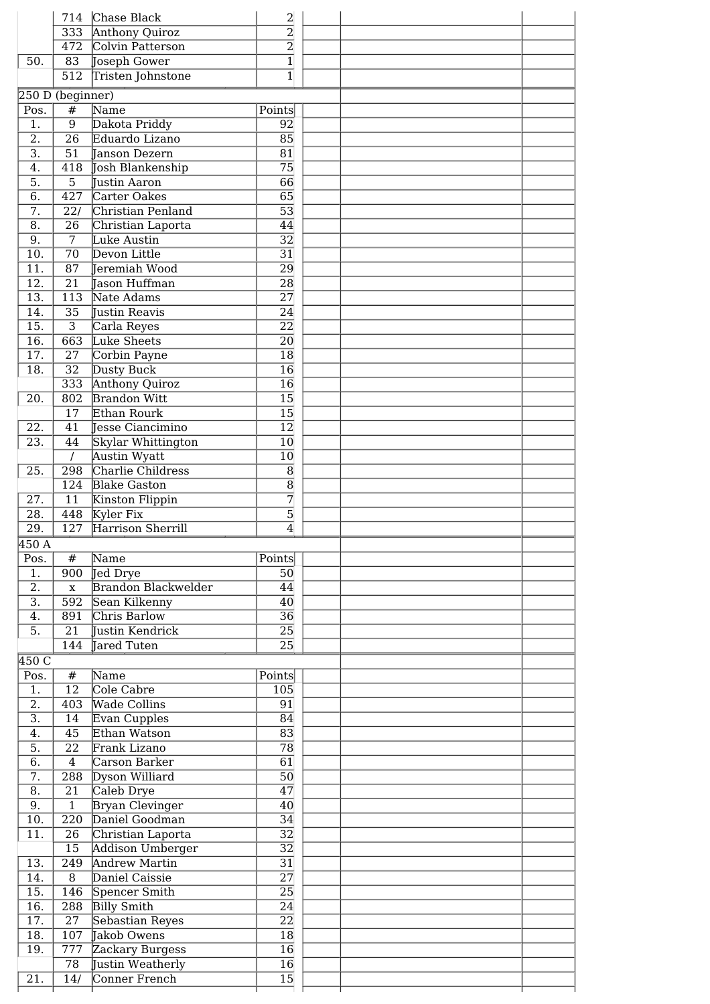|                                        | 714                                | Chase Black                        | $\overline{2}$                     |  |  |
|----------------------------------------|------------------------------------|------------------------------------|------------------------------------|--|--|
|                                        | 333                                | <b>Anthony Quiroz</b>              | $\overline{2}$                     |  |  |
|                                        | 472                                | Colvin Patterson                   | $\overline{2}$                     |  |  |
| 50.                                    | 83                                 | Joseph Gower                       | $\overline{1}$                     |  |  |
|                                        | 512                                | Tristen Johnstone                  | $\overline{1}$                     |  |  |
|                                        | 250 D (beginner)                   |                                    |                                    |  |  |
| Pos.                                   | $\#$                               | Name                               | Points                             |  |  |
| $\overline{1}$ .                       | $\overline{9}$                     | Dakota Priddy                      | 92                                 |  |  |
| $\overline{2}$ .                       | $\overline{26}$                    | Eduardo Lizano                     | $\overline{85}$                    |  |  |
| $\overline{3}$ .                       | $\overline{51}$                    | <b>Tanson Dezern</b>               | 81                                 |  |  |
| 4.                                     | 418                                | Josh Blankenship                   | $\overline{75}$                    |  |  |
| $\overline{5}$ .                       | $\overline{5}$                     | <b>Justin Aaron</b>                | $\overline{66}$                    |  |  |
| $\overline{6}$ .                       | $\overline{427}$                   | Carter Oakes                       | $\overline{65}$                    |  |  |
| $\overline{7}$ .                       | 22/                                | Christian Penland                  | $\overline{53}$                    |  |  |
| $\overline{8}$ .                       | $\overline{26}$                    | Christian Laporta                  | $\overline{44}$                    |  |  |
| $\overline{9}$ .                       | 7                                  | Luke Austin                        | $\overline{32}$                    |  |  |
| 10.                                    | $\overline{70}$                    | Devon Little                       | 31                                 |  |  |
| 11.                                    | 87                                 | Jeremiah Wood                      | 29                                 |  |  |
| $\overline{12}$ .                      | $\overline{21}$                    | <b>Jason Huffman</b>               | 28                                 |  |  |
| $\overline{13}$ .<br>$\overline{14}$ . | 113<br>$\overline{35}$             | Nate Adams<br><b>Justin Reavis</b> | $\overline{27}$<br>$\overline{24}$ |  |  |
| 15.                                    | $\overline{3}$                     | Carla Reyes                        | $\overline{22}$                    |  |  |
| $\overline{16}$ .                      | 663                                | Luke Sheets                        | 20                                 |  |  |
| 17.                                    | 27                                 | Corbin Payne                       | 18                                 |  |  |
| $\overline{18}$ .                      | $\overline{32}$                    | Dusty Buck                         | $\overline{16}$                    |  |  |
|                                        | 333                                | <b>Anthony Quiroz</b>              | $\overline{16}$                    |  |  |
| 20.                                    | 802                                | <b>Brandon Witt</b>                | $\overline{15}$                    |  |  |
|                                        | 17                                 | Ethan Rourk                        | $\overline{15}$                    |  |  |
| 22.                                    | 41                                 | Jesse Ciancimino                   | $\overline{12}$                    |  |  |
| 23.                                    | 44                                 | Skylar Whittington                 | 10                                 |  |  |
|                                        | $\prime$                           | Austin Wyatt                       | $\overline{10}$                    |  |  |
| 25.                                    | 298                                | Charlie Childress                  | $\overline{8}$                     |  |  |
|                                        | 124                                | <b>Blake Gaston</b>                | $\overline{8}$                     |  |  |
| 27.                                    | 11                                 | Kinston Flippin                    | 7                                  |  |  |
| 28.                                    | 448                                | Kyler Fix                          | $\overline{5}$                     |  |  |
| $\overline{29}$ .                      | 127                                | Harrison Sherrill                  | $\overline{4}$                     |  |  |
| 450A                                   |                                    |                                    |                                    |  |  |
| Pos.                                   | #                                  | Name                               | Points                             |  |  |
| 1.                                     | 900                                | Jed Drye                           | 50                                 |  |  |
| $\overline{2}$ .                       | $\mathbf X$                        | <b>Brandon Blackwelder</b>         | 44                                 |  |  |
| $\overline{3}$ .                       | $\overline{592}$                   | Sean Kilkenny                      | 40                                 |  |  |
| 4.                                     | 891                                | Chris Barlow                       | $\overline{36}$                    |  |  |
| 5.                                     | $\overline{21}$                    | Justin Kendrick                    | 25                                 |  |  |
|                                        | 144                                | Jared Tuten                        | $\overline{25}$                    |  |  |
| 450 C                                  |                                    |                                    |                                    |  |  |
| Pos.                                   | $\#$                               | $\overline{\text{Name}}$           | Points                             |  |  |
| $\overline{1}$ .                       | $\overline{12}$                    | Cole Cabre                         | 105                                |  |  |
| $\overline{2}$ .                       | $\overline{403}$                   | <b>Wade Collins</b>                | $\overline{91}$                    |  |  |
| $\overline{3}$ .                       | $\overline{14}$                    | Evan Cupples                       | 84                                 |  |  |
| 4.                                     | $\overline{45}$<br>$\overline{22}$ | Ethan Watson<br>Frank Lizano       | $\overline{83}$<br>$\overline{78}$ |  |  |
| 5.<br>6.                               | $\overline{4}$                     | Carson Barker                      | $\overline{61}$                    |  |  |
| $\overline{7}$ .                       | 288                                | Dyson Williard                     | $\overline{50}$                    |  |  |
| $\overline{8}$ .                       | $\overline{21}$                    | Caleb Drye                         | $\overline{47}$                    |  |  |
| $\overline{9}$ .                       | $\overline{1}$                     | <b>Bryan Clevinger</b>             | 40                                 |  |  |
| 10.                                    | 220                                | Daniel Goodman                     | $\overline{34}$                    |  |  |
| 11.                                    | $\overline{26}$                    | Christian Laporta                  | $\overline{32}$                    |  |  |
|                                        | 15                                 | Addison Umberger                   | $\overline{32}$                    |  |  |
| 13.                                    | 249                                | <b>Andrew Martin</b>               | $\overline{31}$                    |  |  |
| 14.                                    | 8                                  | Daniel Caissie                     | $\overline{27}$                    |  |  |
| 15.                                    | 146                                | Spencer Smith                      | $\overline{25}$                    |  |  |
| 16.                                    | 288                                | <b>Billy Smith</b>                 | $\overline{24}$                    |  |  |
| 17.                                    | 27                                 | <b>Sebastian Reyes</b>             | $\overline{22}$                    |  |  |
| $\overline{18}$ .                      | 107                                | Jakob Owens                        | $\overline{18}$                    |  |  |
| 19.                                    | 777                                | Zackary Burgess                    | $\overline{16}$                    |  |  |
|                                        | 78                                 | Justin Weatherly                   | $\overline{16}$                    |  |  |
| 21.                                    | 14/                                | Conner French                      | $\overline{15}$                    |  |  |
|                                        |                                    |                                    |                                    |  |  |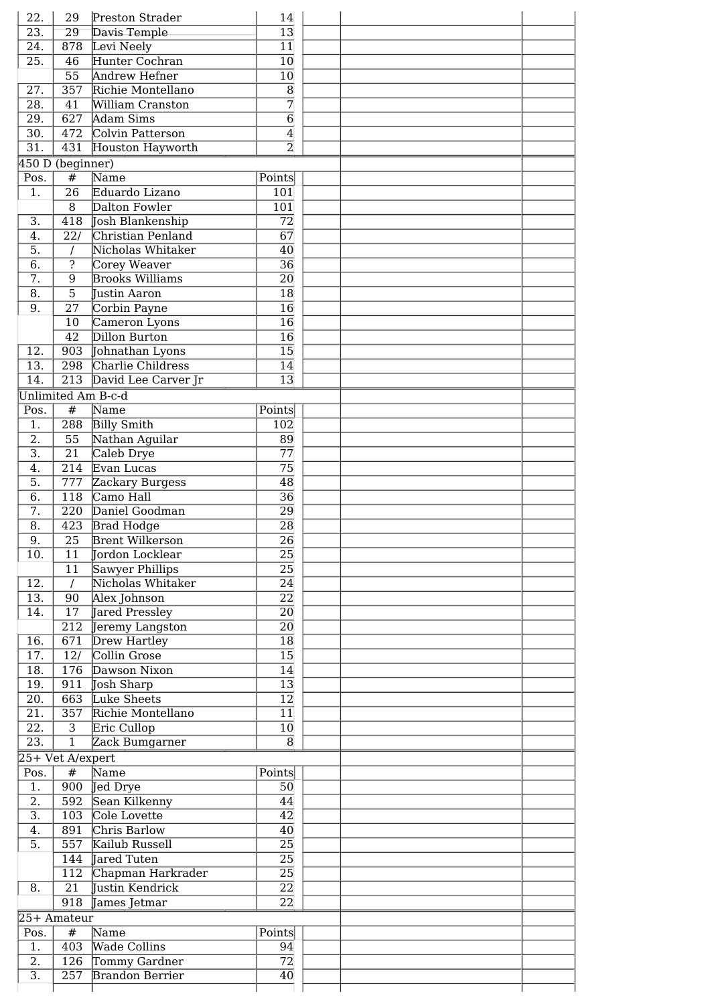| 22.               | 29                            | Preston Strader        | 14               |  |  |
|-------------------|-------------------------------|------------------------|------------------|--|--|
| $\overline{23}$ . | $\overline{29}$               | Davis Temple           | $\overline{13}$  |  |  |
| 24.               | 878                           | Levi Neely             | $\overline{11}$  |  |  |
| $\overline{25}$ . | 46                            | Hunter Cochran         | $\overline{10}$  |  |  |
|                   | $\overline{55}$               | <b>Andrew Hefner</b>   | $\overline{10}$  |  |  |
| $\overline{27}$ . | $\overline{357}$              | Richie Montellano      | $\overline{8}$   |  |  |
| 28.               | 41                            | William Cranston       | $\overline{7}$   |  |  |
| 29.               | 627                           | <b>Adam Sims</b>       | $\overline{6}$   |  |  |
| $\overline{30}$ . | 472                           | Colvin Patterson       | $\overline{4}$   |  |  |
| $\overline{31}$ . | 431                           | Houston Hayworth       | $\overline{2}$   |  |  |
|                   | $\overline{450}$ D (beginner) |                        |                  |  |  |
| Pos.              | #                             | Name                   | Points           |  |  |
| $\overline{1}$ .  | $\overline{26}$               | Eduardo Lizano         | 101              |  |  |
|                   | 8                             | Dalton Fowler          | $\overline{101}$ |  |  |
| $\overline{3}$ .  | 418                           | Josh Blankenship       | $\overline{72}$  |  |  |
| $\overline{4}$ .  | $\overline{22/}$              | Christian Penland      | $\overline{67}$  |  |  |
| $\overline{5}$ .  | I                             | Nicholas Whitaker      | 40               |  |  |
| $\overline{6}$ .  | S.                            | Corey Weaver           | $\overline{36}$  |  |  |
| $\overline{7}$ .  | $\overline{9}$                | <b>Brooks Williams</b> | $\overline{20}$  |  |  |
| $\overline{8}$ .  | $\overline{5}$                | Justin Aaron           | $\overline{18}$  |  |  |
| $\overline{9}$ .  | $\overline{27}$               | Corbin Payne           | $\overline{16}$  |  |  |
|                   | 10                            | Cameron Lyons          | $\overline{16}$  |  |  |
|                   | $\overline{42}$               | Dillon Burton          | $\overline{16}$  |  |  |
| 12.               | 903                           | Johnathan Lyons        | $\overline{15}$  |  |  |
| 13.               | 298                           | Charlie Childress      | 14               |  |  |
| $\overline{14}$ . | $\overline{213}$              | David Lee Carver Jr    | $\overline{13}$  |  |  |
|                   | <b>Unlimited Am B-c-d</b>     |                        |                  |  |  |
| Pos.              | $\overline{\#}$               | Name                   | Points           |  |  |
| 1.                | 288                           | <b>Billy Smith</b>     | 102              |  |  |
| $\overline{2}$ .  | $\overline{55}$               | Nathan Aguilar         | 89               |  |  |
| $\overline{3}$ .  | $\overline{21}$               | Caleb Drye             | $\overline{77}$  |  |  |
| 4.                | $\overline{214}$              | Evan Lucas             | $\overline{75}$  |  |  |
| 5.                | 777                           | Zackary Burgess        | $\overline{48}$  |  |  |
| $\overline{6}$ .  | 118                           | Camo Hall              | $\overline{36}$  |  |  |
| 7.                | $\overline{220}$              | Daniel Goodman         | $\overline{29}$  |  |  |
| 8.                | 423                           | <b>Brad Hodge</b>      | $\overline{28}$  |  |  |
| 9.                | $\overline{25}$               | <b>Brent Wilkerson</b> | $\overline{26}$  |  |  |
| 10.               | 11                            | Jordon Locklear        | 25               |  |  |
|                   | 11                            | Sawyer Phillips        | $\overline{25}$  |  |  |
| 12.               | $\overline{I}$                | Nicholas Whitaker      | $\overline{24}$  |  |  |
| $\overline{13}$ . | 90                            | Alex Johnson           | $\overline{22}$  |  |  |
| 14.               | 17                            | <b>Jared Pressley</b>  | $\overline{20}$  |  |  |
|                   | 212                           | Jeremy Langston        | $\overline{20}$  |  |  |
| 16.               | 671                           | <b>Drew Hartley</b>    | $\overline{18}$  |  |  |
| 17.               | $\overline{12/}$              | Collin Grose           | $\overline{15}$  |  |  |
| 18.               | 176                           | Dawson Nixon           | $\overline{14}$  |  |  |
| 19.               | 911                           | Josh Sharp             | $\overline{13}$  |  |  |
| $\overline{20}$ . | 663                           | Luke Sheets            | $\overline{12}$  |  |  |
| 21.               | 357                           | Richie Montellano      | $\overline{11}$  |  |  |
| 22.               | 3                             | Eric Cullop            | 10               |  |  |
| 23.               | $\overline{1}$                | Zack Bumgarner         | $\overline{8}$   |  |  |
|                   | 25+ Vet A/expert              |                        |                  |  |  |
| Pos.              | #                             | Name                   | Points           |  |  |
| 1.                | $\overline{900}$              | Jed Drye               | 50               |  |  |
| 2.                | 592                           | Sean Kilkenny          | 44               |  |  |
| 3.                | 103                           | Cole Lovette           | 42               |  |  |
| 4.                | 891                           | Chris Barlow           | 40               |  |  |
| 5.                | $\overline{557}$              | Kailub Russell         | $\overline{25}$  |  |  |
|                   | 144                           | <b>Jared Tuten</b>     | $\overline{25}$  |  |  |
|                   | 112                           | Chapman Harkrader      | 25               |  |  |
| 8.                | 21                            | Tustin Kendrick        | 22               |  |  |
|                   | 918                           | James Jetmar           | $\overline{22}$  |  |  |
|                   | 25+ Amateur                   |                        |                  |  |  |
| Pos.              | #                             | Name                   | Points           |  |  |
| $\overline{1}$ .  | $\overline{403}$              | <b>Wade Collins</b>    | 94               |  |  |
| $\overline{2}$ .  | 126                           | Tommy Gardner          | $\overline{72}$  |  |  |
| $\overline{3}$ .  | $\overline{257}$              | <b>Brandon Berrier</b> | 40               |  |  |
|                   |                               |                        |                  |  |  |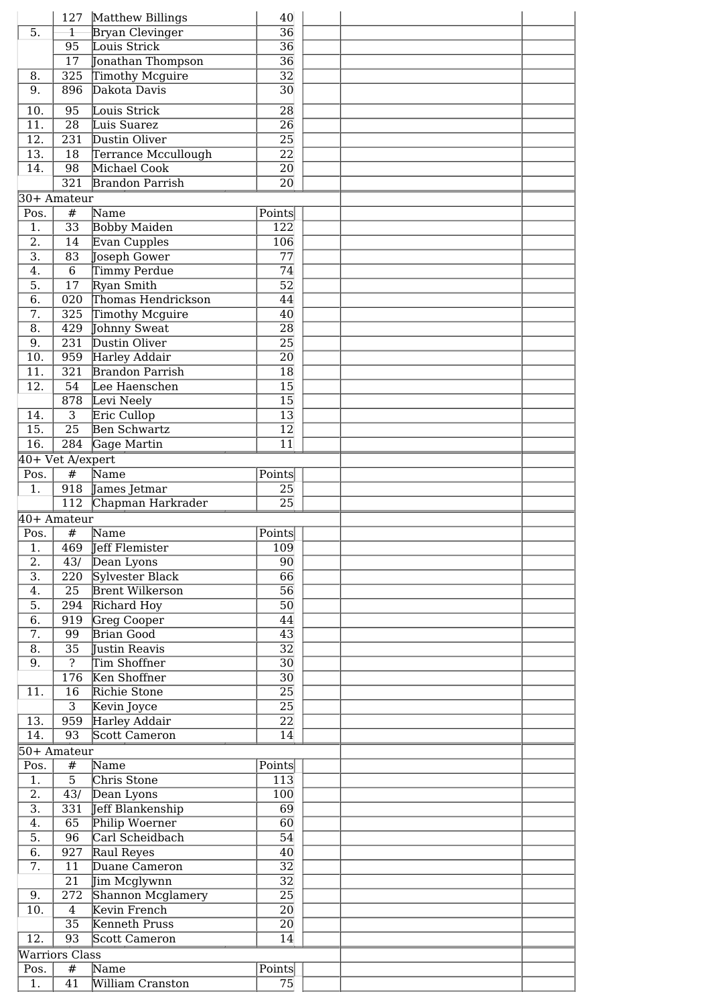|                   | 127                   | Matthew Billings         | 40               |  |
|-------------------|-----------------------|--------------------------|------------------|--|
| 5.                | $\overline{1}$        | <b>Bryan Clevinger</b>   | $\overline{36}$  |  |
|                   | 95                    | Louis Strick             | $\overline{36}$  |  |
|                   | $\overline{17}$       | Jonathan Thompson        | $\overline{36}$  |  |
| 8.                | 325                   | <b>Timothy Mcguire</b>   | $\overline{32}$  |  |
| 9.                | 896                   | Dakota Davis             | $\overline{30}$  |  |
| 10.               | 95                    | Louis Strick             | 28               |  |
| 11.               | $\overline{28}$       | Luis Suarez              | 26               |  |
| 12.               | $\overline{231}$      | Dustin Oliver            | 25               |  |
| 13.               | 18                    | Terrance Mccullough      | $\overline{22}$  |  |
| 14.               | 98                    | Michael Cook             | 20               |  |
|                   | $\overline{321}$      | <b>Brandon Parrish</b>   | $\overline{20}$  |  |
|                   | 30+ Amateur           |                          |                  |  |
| Pos.              | #                     | Name                     | Points           |  |
| 1.                | $\overline{33}$       | <b>Bobby Maiden</b>      | 122              |  |
| $\overline{2}$ .  | $\overline{14}$       | Evan Cupples             | 106              |  |
| $\overline{3}$ .  | $\overline{83}$       | Joseph Gower             | $\overline{77}$  |  |
| $\overline{4}$ .  | $\overline{6}$        | Timmy Perdue             | 74               |  |
| $\overline{5}$ .  | 17                    | Ryan Smith               | $\overline{52}$  |  |
| 6.                | $\overline{020}$      | Thomas Hendrickson       | 44               |  |
| $\overline{7}$ .  | 325                   | Timothy Mcguire          | 40               |  |
| $\overline{8}$ .  | 429                   | Johnny Sweat             | 28               |  |
| 9.                | 231                   | Dustin Oliver            | $\overline{25}$  |  |
| 10.               | 959                   | <b>Harley Addair</b>     | $\overline{20}$  |  |
| 11.               | 321                   | <b>Brandon Parrish</b>   | 18               |  |
| 12.               | 54                    | Lee Haenschen            | 15               |  |
|                   | 878                   | Levi Neely               | 15               |  |
| 14.               | $\overline{3}$        | Eric Cullop              | $\overline{13}$  |  |
| $\overline{15}$ . | $\overline{25}$       | <b>Ben Schwartz</b>      | $\overline{12}$  |  |
| $\overline{16}$ . | 284                   | Gage Martin              | $\overline{11}$  |  |
|                   | 40+ Vet A/expert      |                          |                  |  |
| Pos.              | #                     | Name                     | Points           |  |
| 1.                |                       | 918 James Jetmar         | 25               |  |
|                   | 112                   | Chapman Harkrader        | $\overline{25}$  |  |
|                   | 40+ Amateur           |                          |                  |  |
| Pos.              | #                     | Name                     | Points           |  |
| $\overline{1.}$   |                       | 469 Jeff Flemister       | $\overline{109}$ |  |
| 2.                | 43/                   | Dean Lyons               | 90               |  |
| $\overline{3}$ .  | 220                   | Sylvester Black          | 66               |  |
| 4.                | $\overline{25}$       | <b>Brent Wilkerson</b>   | $\overline{56}$  |  |
| 5.                | 294                   | Richard Hoy              | $\overline{50}$  |  |
| 6.                | 919                   |                          |                  |  |
| 7.                |                       |                          |                  |  |
| 8.                |                       | Greg Cooper              | 44               |  |
|                   | 99                    | <b>Brian Good</b>        | 43               |  |
|                   | $\overline{35}$       | Justin Reavis            | $\overline{32}$  |  |
| 9.                | $\overline{?}$        | Tim Shoffner             | $\overline{30}$  |  |
|                   | 176                   | Ken Shoffner             | $\overline{30}$  |  |
| 11.               | 16                    | Richie Stone             | $\overline{25}$  |  |
|                   | $\overline{3}$        | Kevin Joyce              | $\overline{25}$  |  |
| 13.               | 959                   | Harley Addair            | $\overline{22}$  |  |
| 14.               | 93                    | Scott Cameron            | $\overline{14}$  |  |
|                   | 50+ Amateur           |                          |                  |  |
| Pos.              | #                     | Name                     | Points           |  |
| $1$ .             | $\overline{5}$        | Chris Stone              | 113              |  |
| $\overline{2}$ .  | 43/                   | Dean Lyons               | $\overline{100}$ |  |
| $\overline{3}$ .  | 331                   | Jeff Blankenship         | $\overline{69}$  |  |
| 4.                | 65                    | Philip Woerner           | 60               |  |
| 5.                | 96                    | Carl Scheidbach          | 54               |  |
| 6.                | 927                   | Raul Reyes               | 40               |  |
| 7.                | 11                    | Duane Cameron            | $\overline{32}$  |  |
|                   | 21                    | Jim Mcglywnn             | $\overline{32}$  |  |
| 9.                | 272                   | Shannon Mcglamery        | $\overline{25}$  |  |
| 10.               | $\overline{4}$        | Kevin French             | $\overline{20}$  |  |
|                   | $\overline{35}$       | Kenneth Pruss            | 20               |  |
| 12.               | 93                    | Scott Cameron            | $\overline{14}$  |  |
|                   | <b>Warriors Class</b> |                          |                  |  |
| Pos.<br>1.        | #<br>$\overline{41}$  | Name<br>William Cranston | Points<br>75     |  |